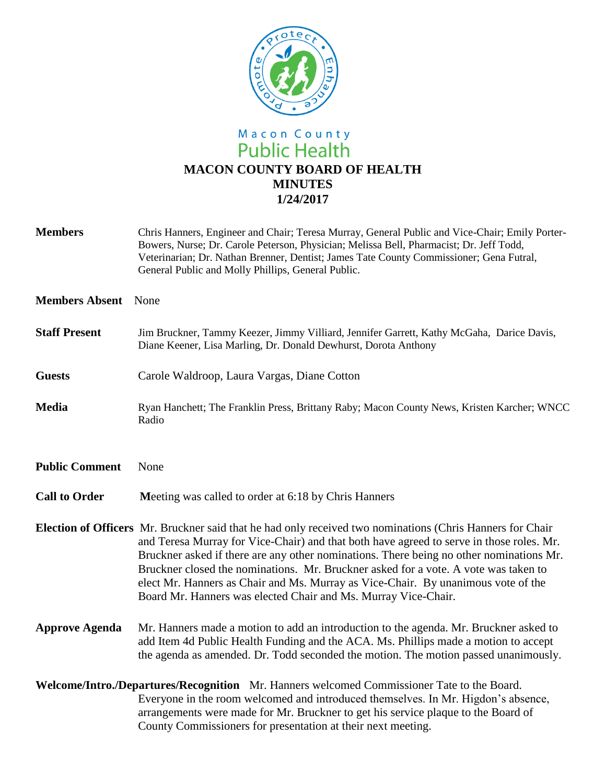

## Macon County<br>Public Health **MACON COUNTY BOARD OF HEALTH MINUTES 1/24/2017**

| <b>Members</b>        | Chris Hanners, Engineer and Chair; Teresa Murray, General Public and Vice-Chair; Emily Porter-<br>Bowers, Nurse; Dr. Carole Peterson, Physician; Melissa Bell, Pharmacist; Dr. Jeff Todd,<br>Veterinarian; Dr. Nathan Brenner, Dentist; James Tate County Commissioner; Gena Futral,<br>General Public and Molly Phillips, General Public.                                                                                                                                                                                                     |
|-----------------------|------------------------------------------------------------------------------------------------------------------------------------------------------------------------------------------------------------------------------------------------------------------------------------------------------------------------------------------------------------------------------------------------------------------------------------------------------------------------------------------------------------------------------------------------|
| <b>Members Absent</b> | None                                                                                                                                                                                                                                                                                                                                                                                                                                                                                                                                           |
| <b>Staff Present</b>  | Jim Bruckner, Tammy Keezer, Jimmy Villiard, Jennifer Garrett, Kathy McGaha, Darice Davis,<br>Diane Keener, Lisa Marling, Dr. Donald Dewhurst, Dorota Anthony                                                                                                                                                                                                                                                                                                                                                                                   |
| <b>Guests</b>         | Carole Waldroop, Laura Vargas, Diane Cotton                                                                                                                                                                                                                                                                                                                                                                                                                                                                                                    |
| <b>Media</b>          | Ryan Hanchett; The Franklin Press, Brittany Raby; Macon County News, Kristen Karcher; WNCC<br>Radio                                                                                                                                                                                                                                                                                                                                                                                                                                            |
| <b>Public Comment</b> | None                                                                                                                                                                                                                                                                                                                                                                                                                                                                                                                                           |
| <b>Call to Order</b>  | Meeting was called to order at 6:18 by Chris Hanners                                                                                                                                                                                                                                                                                                                                                                                                                                                                                           |
|                       | Election of Officers Mr. Bruckner said that he had only received two nominations (Chris Hanners for Chair<br>and Teresa Murray for Vice-Chair) and that both have agreed to serve in those roles. Mr.<br>Bruckner asked if there are any other nominations. There being no other nominations Mr.<br>Bruckner closed the nominations. Mr. Bruckner asked for a vote. A vote was taken to<br>elect Mr. Hanners as Chair and Ms. Murray as Vice-Chair. By unanimous vote of the<br>Board Mr. Hanners was elected Chair and Ms. Murray Vice-Chair. |
| <b>Approve Agenda</b> | Mr. Hanners made a motion to add an introduction to the agenda. Mr. Bruckner asked to<br>add Item 4d Public Health Funding and the ACA. Ms. Phillips made a motion to accept<br>the agenda as amended. Dr. Todd seconded the motion. The motion passed unanimously.                                                                                                                                                                                                                                                                            |
|                       | Welcome/Intro./Departures/Recognition Mr. Hanners welcomed Commissioner Tate to the Board.<br>Everyone in the room welcomed and introduced themselves. In Mr. Higdon's absence,<br>arrangements were made for Mr. Bruckner to get his service plaque to the Board of<br>County Commissioners for presentation at their next meeting.                                                                                                                                                                                                           |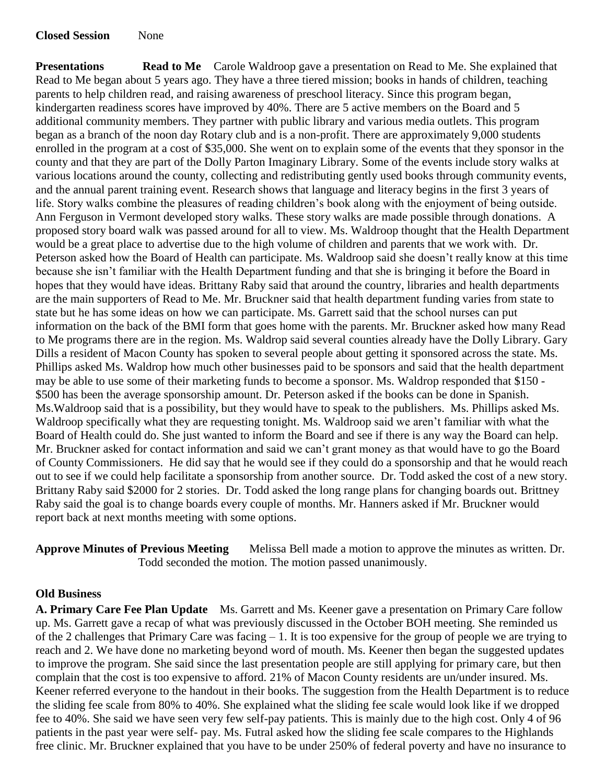**Closed Session** None

**Presentations Read to Me** Carole Waldroop gave a presentation on Read to Me. She explained that Read to Me began about 5 years ago. They have a three tiered mission; books in hands of children, teaching parents to help children read, and raising awareness of preschool literacy. Since this program began, kindergarten readiness scores have improved by 40%. There are 5 active members on the Board and 5 additional community members. They partner with public library and various media outlets. This program began as a branch of the noon day Rotary club and is a non-profit. There are approximately 9,000 students enrolled in the program at a cost of \$35,000. She went on to explain some of the events that they sponsor in the county and that they are part of the Dolly Parton Imaginary Library. Some of the events include story walks at various locations around the county, collecting and redistributing gently used books through community events, and the annual parent training event. Research shows that language and literacy begins in the first 3 years of life. Story walks combine the pleasures of reading children's book along with the enjoyment of being outside. Ann Ferguson in Vermont developed story walks. These story walks are made possible through donations. A proposed story board walk was passed around for all to view. Ms. Waldroop thought that the Health Department would be a great place to advertise due to the high volume of children and parents that we work with. Dr. Peterson asked how the Board of Health can participate. Ms. Waldroop said she doesn't really know at this time because she isn't familiar with the Health Department funding and that she is bringing it before the Board in hopes that they would have ideas. Brittany Raby said that around the country, libraries and health departments are the main supporters of Read to Me. Mr. Bruckner said that health department funding varies from state to state but he has some ideas on how we can participate. Ms. Garrett said that the school nurses can put information on the back of the BMI form that goes home with the parents. Mr. Bruckner asked how many Read to Me programs there are in the region. Ms. Waldrop said several counties already have the Dolly Library. Gary Dills a resident of Macon County has spoken to several people about getting it sponsored across the state. Ms. Phillips asked Ms. Waldrop how much other businesses paid to be sponsors and said that the health department may be able to use some of their marketing funds to become a sponsor. Ms. Waldrop responded that \$150 - \$500 has been the average sponsorship amount. Dr. Peterson asked if the books can be done in Spanish. Ms.Waldroop said that is a possibility, but they would have to speak to the publishers. Ms. Phillips asked Ms. Waldroop specifically what they are requesting tonight. Ms. Waldroop said we aren't familiar with what the Board of Health could do. She just wanted to inform the Board and see if there is any way the Board can help. Mr. Bruckner asked for contact information and said we can't grant money as that would have to go the Board of County Commissioners. He did say that he would see if they could do a sponsorship and that he would reach out to see if we could help facilitate a sponsorship from another source. Dr. Todd asked the cost of a new story. Brittany Raby said \$2000 for 2 stories. Dr. Todd asked the long range plans for changing boards out. Brittney Raby said the goal is to change boards every couple of months. Mr. Hanners asked if Mr. Bruckner would report back at next months meeting with some options.

**Approve Minutes of Previous Meeting** Melissa Bell made a motion to approve the minutes as written. Dr. Todd seconded the motion. The motion passed unanimously.

## **Old Business**

**A. Primary Care Fee Plan Update** Ms. Garrett and Ms. Keener gave a presentation on Primary Care follow up. Ms. Garrett gave a recap of what was previously discussed in the October BOH meeting. She reminded us of the 2 challenges that Primary Care was facing – 1. It is too expensive for the group of people we are trying to reach and 2. We have done no marketing beyond word of mouth. Ms. Keener then began the suggested updates to improve the program. She said since the last presentation people are still applying for primary care, but then complain that the cost is too expensive to afford. 21% of Macon County residents are un/under insured. Ms. Keener referred everyone to the handout in their books. The suggestion from the Health Department is to reduce the sliding fee scale from 80% to 40%. She explained what the sliding fee scale would look like if we dropped fee to 40%. She said we have seen very few self-pay patients. This is mainly due to the high cost. Only 4 of 96 patients in the past year were self- pay. Ms. Futral asked how the sliding fee scale compares to the Highlands free clinic. Mr. Bruckner explained that you have to be under 250% of federal poverty and have no insurance to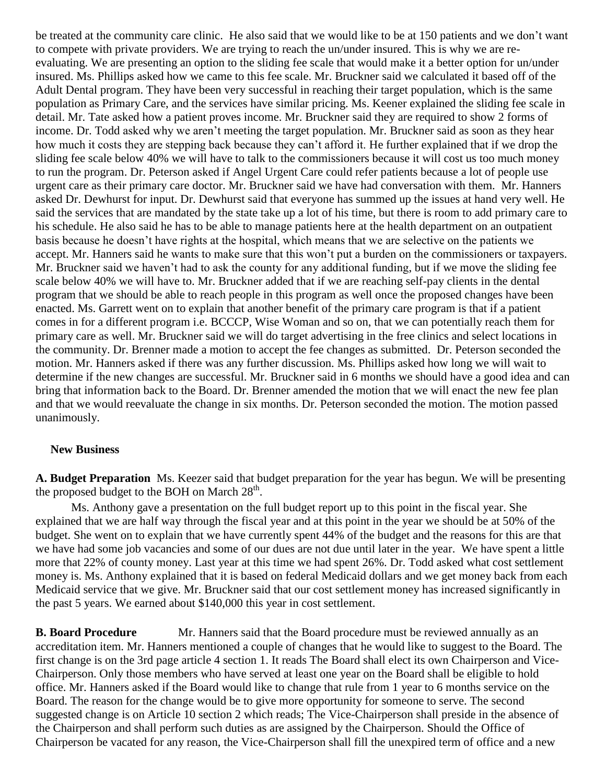be treated at the community care clinic. He also said that we would like to be at 150 patients and we don't want to compete with private providers. We are trying to reach the un/under insured. This is why we are reevaluating. We are presenting an option to the sliding fee scale that would make it a better option for un/under insured. Ms. Phillips asked how we came to this fee scale. Mr. Bruckner said we calculated it based off of the Adult Dental program. They have been very successful in reaching their target population, which is the same population as Primary Care, and the services have similar pricing. Ms. Keener explained the sliding fee scale in detail. Mr. Tate asked how a patient proves income. Mr. Bruckner said they are required to show 2 forms of income. Dr. Todd asked why we aren't meeting the target population. Mr. Bruckner said as soon as they hear how much it costs they are stepping back because they can't afford it. He further explained that if we drop the sliding fee scale below 40% we will have to talk to the commissioners because it will cost us too much money to run the program. Dr. Peterson asked if Angel Urgent Care could refer patients because a lot of people use urgent care as their primary care doctor. Mr. Bruckner said we have had conversation with them. Mr. Hanners asked Dr. Dewhurst for input. Dr. Dewhurst said that everyone has summed up the issues at hand very well. He said the services that are mandated by the state take up a lot of his time, but there is room to add primary care to his schedule. He also said he has to be able to manage patients here at the health department on an outpatient basis because he doesn't have rights at the hospital, which means that we are selective on the patients we accept. Mr. Hanners said he wants to make sure that this won't put a burden on the commissioners or taxpayers. Mr. Bruckner said we haven't had to ask the county for any additional funding, but if we move the sliding fee scale below 40% we will have to. Mr. Bruckner added that if we are reaching self-pay clients in the dental program that we should be able to reach people in this program as well once the proposed changes have been enacted. Ms. Garrett went on to explain that another benefit of the primary care program is that if a patient comes in for a different program i.e. BCCCP, Wise Woman and so on, that we can potentially reach them for primary care as well. Mr. Bruckner said we will do target advertising in the free clinics and select locations in the community. Dr. Brenner made a motion to accept the fee changes as submitted. Dr. Peterson seconded the motion. Mr. Hanners asked if there was any further discussion. Ms. Phillips asked how long we will wait to determine if the new changes are successful. Mr. Bruckner said in 6 months we should have a good idea and can bring that information back to the Board. Dr. Brenner amended the motion that we will enact the new fee plan and that we would reevaluate the change in six months. Dr. Peterson seconded the motion. The motion passed unanimously.

## **New Business**

**A. Budget Preparation** Ms. Keezer said that budget preparation for the year has begun. We will be presenting the proposed budget to the BOH on March  $28<sup>th</sup>$ .

Ms. Anthony gave a presentation on the full budget report up to this point in the fiscal year. She explained that we are half way through the fiscal year and at this point in the year we should be at 50% of the budget. She went on to explain that we have currently spent 44% of the budget and the reasons for this are that we have had some job vacancies and some of our dues are not due until later in the year. We have spent a little more that 22% of county money. Last year at this time we had spent 26%. Dr. Todd asked what cost settlement money is. Ms. Anthony explained that it is based on federal Medicaid dollars and we get money back from each Medicaid service that we give. Mr. Bruckner said that our cost settlement money has increased significantly in the past 5 years. We earned about \$140,000 this year in cost settlement.

**B. Board Procedure** Mr. Hanners said that the Board procedure must be reviewed annually as an accreditation item. Mr. Hanners mentioned a couple of changes that he would like to suggest to the Board. The first change is on the 3rd page article 4 section 1. It reads The Board shall elect its own Chairperson and Vice-Chairperson. Only those members who have served at least one year on the Board shall be eligible to hold office. Mr. Hanners asked if the Board would like to change that rule from 1 year to 6 months service on the Board. The reason for the change would be to give more opportunity for someone to serve. The second suggested change is on Article 10 section 2 which reads; The Vice-Chairperson shall preside in the absence of the Chairperson and shall perform such duties as are assigned by the Chairperson. Should the Office of Chairperson be vacated for any reason, the Vice-Chairperson shall fill the unexpired term of office and a new